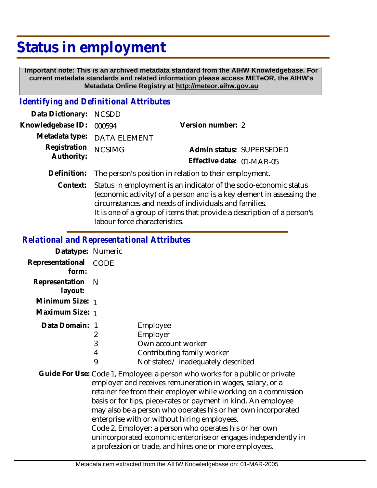## **Status in employment**

 **Important note: This is an archived metadata standard from the AIHW Knowledgebase. For current metadata standards and related information please access METeOR, the AIHW's Metadata Online Registry at http://meteor.aihw.gov.au**

## *Identifying and Definitional Attributes*

| Data Dictionary: NCSDD     |                                                                    |                           |                          |
|----------------------------|--------------------------------------------------------------------|---------------------------|--------------------------|
| Knowledgebase ID: 000594   |                                                                    | Version number: 2         |                          |
|                            | Metadata type: DATA ELEMENT                                        |                           |                          |
| Registration<br>Authority: | <b>NCSIMG</b>                                                      |                           | Admin status: SUPERSEDED |
|                            |                                                                    | Effective date: 01-MAR-05 |                          |
|                            | Definition: The person's position in relation to their employment. |                           |                          |

Context: Status in employment is an indicator of the socio-economic status (economic activity) of a person and is a key element in assessing the circumstances and needs of individuals and families. It is one of a group of items that provide a description of a person's labour force characteristics.

## *Relational and Representational Attributes*

| Datatype: Numeric           |                  |                                                                                                               |
|-----------------------------|------------------|---------------------------------------------------------------------------------------------------------------|
| Representational<br>form:   | CODE             |                                                                                                               |
| Representation N<br>layout: |                  |                                                                                                               |
| Minimum Size: 1             |                  |                                                                                                               |
| Maximum Size: 1             |                  |                                                                                                               |
| Data Domain: 1              | 2<br>3<br>4<br>9 | Employee<br>Employer<br>Own account worker<br>Contributing family worker<br>Not stated/inadequately described |

Guide For Use: Code 1, Employee: a person who works for a public or private employer and receives remuneration in wages, salary, or a retainer fee from their employer while working on a commission basis or for tips, piece-rates or payment in kind. An employee may also be a person who operates his or her own incorporated enterprise with or without hiring employees. Code 2, Employer: a person who operates his or her own unincorporated economic enterprise or engages independently in a profession or trade, and hires one or more employees.